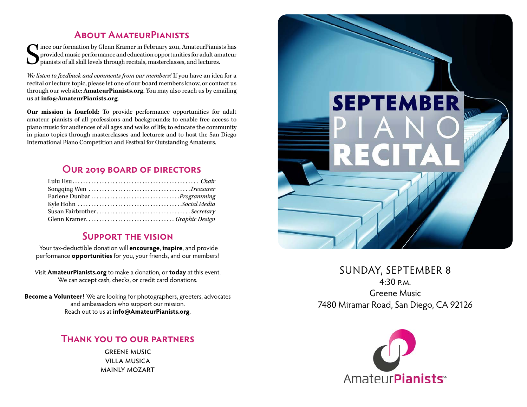## **About AmateurPianists**

 $\begin{cases} \begin{array}{c} \text{ince our formation by Glenn Kramer in February 2011, Amateur-Pianists has provided music performance and education opportunities for adult amateur pianists of all skill levels through recitals, masterclasses, and lectures. \end{array} \end{cases}$ provided music performance and education opportunities for adult amateur pianists of all skill levels through recitals, masterclasses, and lectures.

*We listen to feedback and comments from our members!* If you have an idea for a recital or lecture topic, please let one of our board members know, or contact us through our website: **[AmateurPianists.org](http://AmateurPianists.org)**. You may also reach us by emailing us at **[info@AmateurPianists.org](mailto:info@AmateurPianists.org)**.

**Our mission is fourfold:** To provide performance opportunities for adult amateur pianists of all professions and backgrounds; to enable free access to piano music for audiences of all ages and walks of life; to educate the community in piano topics through masterclasses and lectures; and to host the San Diego International Piano Competition and Festival for Outstanding Amateurs.

## **Our 2019 board of directors**

| Susan FairbrotherSecretary |  |
|----------------------------|--|
|                            |  |

#### **Support the vision**

Your tax-deductible donation will **encourage**, **inspire**, and provide performance **opportunities** for you, your friends, and our members!

Visit **[AmateurPianists.org](http://AmateurPianists.org)** to make a donation, or **today** at this event. We can accept cash, checks, or credit card donations.

**Become a Volunteer!** We are looking for photographers, greeters, advocates and ambassadors who support our mission. Reach out to us at **[info@AmateurPianists.org](mailto:info@AmateurPianists.org)**.

#### **Thank you to our partners**

**GREENE MUSIC** villa musica mainly mozart



SUNDAY, SEPTEMBER 8  $4.30 PM$ Greene Music 7480 Miramar Road, San Diego, CA 92126